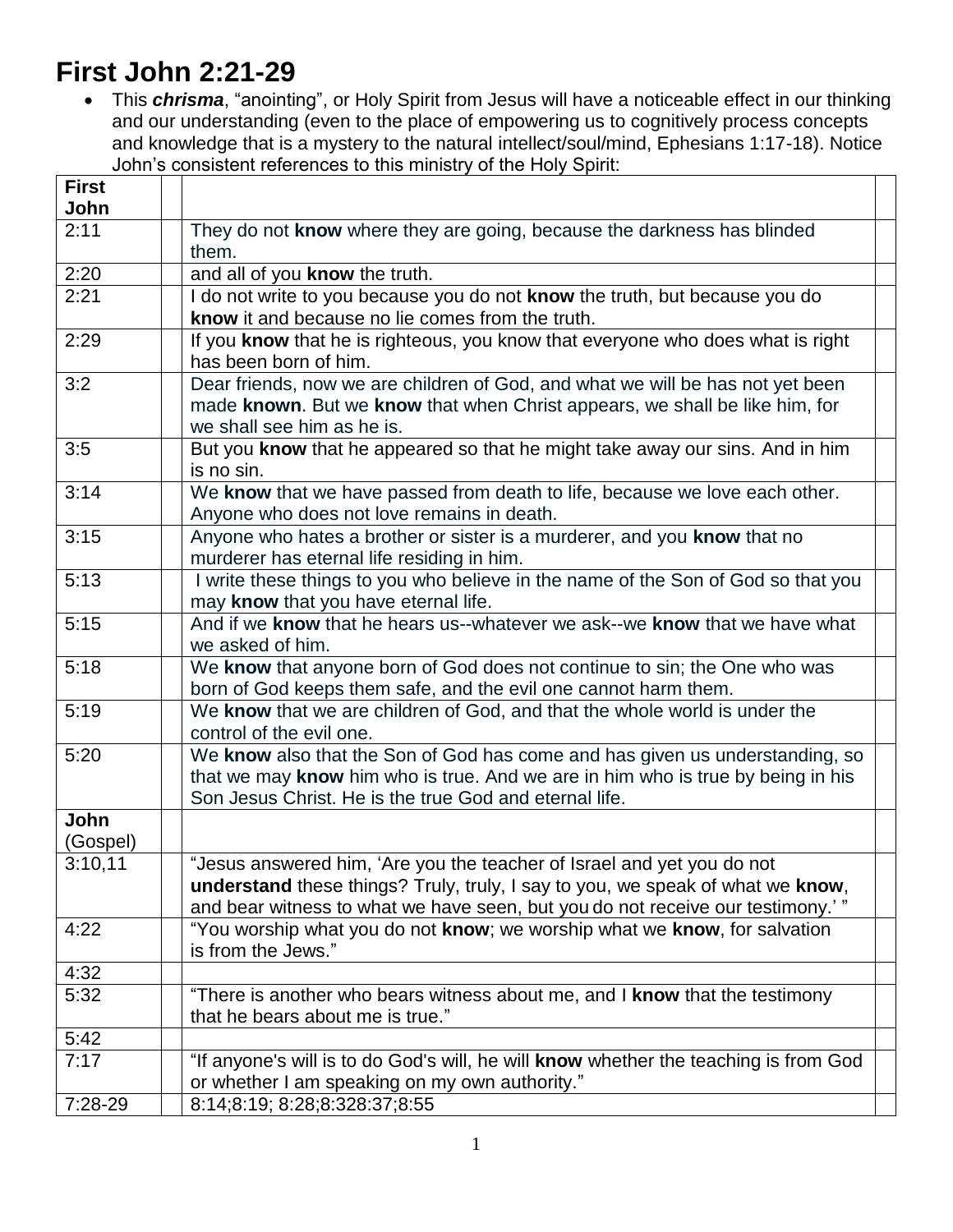# **First John 2:21-29**

 This *chrisma*, "anointing", or Holy Spirit from Jesus will have a noticeable effect in our thinking and our understanding (even to the place of empowering us to cognitively process concepts and knowledge that is a mystery to the natural intellect/soul/mind, Ephesians 1:17-18). Notice John's consistent references to this ministry of the Holy Spirit:

| <b>First</b>     |                                                                                                                                                                                                                                            |
|------------------|--------------------------------------------------------------------------------------------------------------------------------------------------------------------------------------------------------------------------------------------|
| John             |                                                                                                                                                                                                                                            |
| 2:11             | They do not know where they are going, because the darkness has blinded<br>them.                                                                                                                                                           |
| 2:20             | and all of you know the truth.                                                                                                                                                                                                             |
| 2:21             | I do not write to you because you do not know the truth, but because you do<br>know it and because no lie comes from the truth.                                                                                                            |
| 2:29             | If you know that he is righteous, you know that everyone who does what is right<br>has been born of him.                                                                                                                                   |
| 3:2              | Dear friends, now we are children of God, and what we will be has not yet been<br>made known. But we know that when Christ appears, we shall be like him, for<br>we shall see him as he is.                                                |
| 3:5              | But you know that he appeared so that he might take away our sins. And in him<br>is no sin.                                                                                                                                                |
| 3:14             | We know that we have passed from death to life, because we love each other.<br>Anyone who does not love remains in death.                                                                                                                  |
| 3:15             | Anyone who hates a brother or sister is a murderer, and you know that no<br>murderer has eternal life residing in him.                                                                                                                     |
| 5:13             | I write these things to you who believe in the name of the Son of God so that you<br>may know that you have eternal life.                                                                                                                  |
| 5:15             | And if we know that he hears us--whatever we ask--we know that we have what<br>we asked of him.                                                                                                                                            |
| 5:18             | We know that anyone born of God does not continue to sin; the One who was<br>born of God keeps them safe, and the evil one cannot harm them.                                                                                               |
| 5:19             | We know that we are children of God, and that the whole world is under the<br>control of the evil one.                                                                                                                                     |
| 5:20             | We know also that the Son of God has come and has given us understanding, so<br>that we may know him who is true. And we are in him who is true by being in his<br>Son Jesus Christ. He is the true God and eternal life.                  |
| John<br>(Gospel) |                                                                                                                                                                                                                                            |
| 3:10,11          | "Jesus answered him, 'Are you the teacher of Israel and yet you do not<br>understand these things? Truly, truly, I say to you, we speak of what we know,<br>and bear witness to what we have seen, but you do not receive our testimony.'" |
| 4:22             | "You worship what you do not know; we worship what we know, for salvation<br>is from the Jews."                                                                                                                                            |
| 4:32             |                                                                                                                                                                                                                                            |
| 5:32             | "There is another who bears witness about me, and I know that the testimony<br>that he bears about me is true."                                                                                                                            |
| 5:42             |                                                                                                                                                                                                                                            |
| 7:17             | "If anyone's will is to do God's will, he will know whether the teaching is from God<br>or whether I am speaking on my own authority."                                                                                                     |
| 7:28-29          | 8:14;8:19; 8:28;8:328:37;8:55                                                                                                                                                                                                              |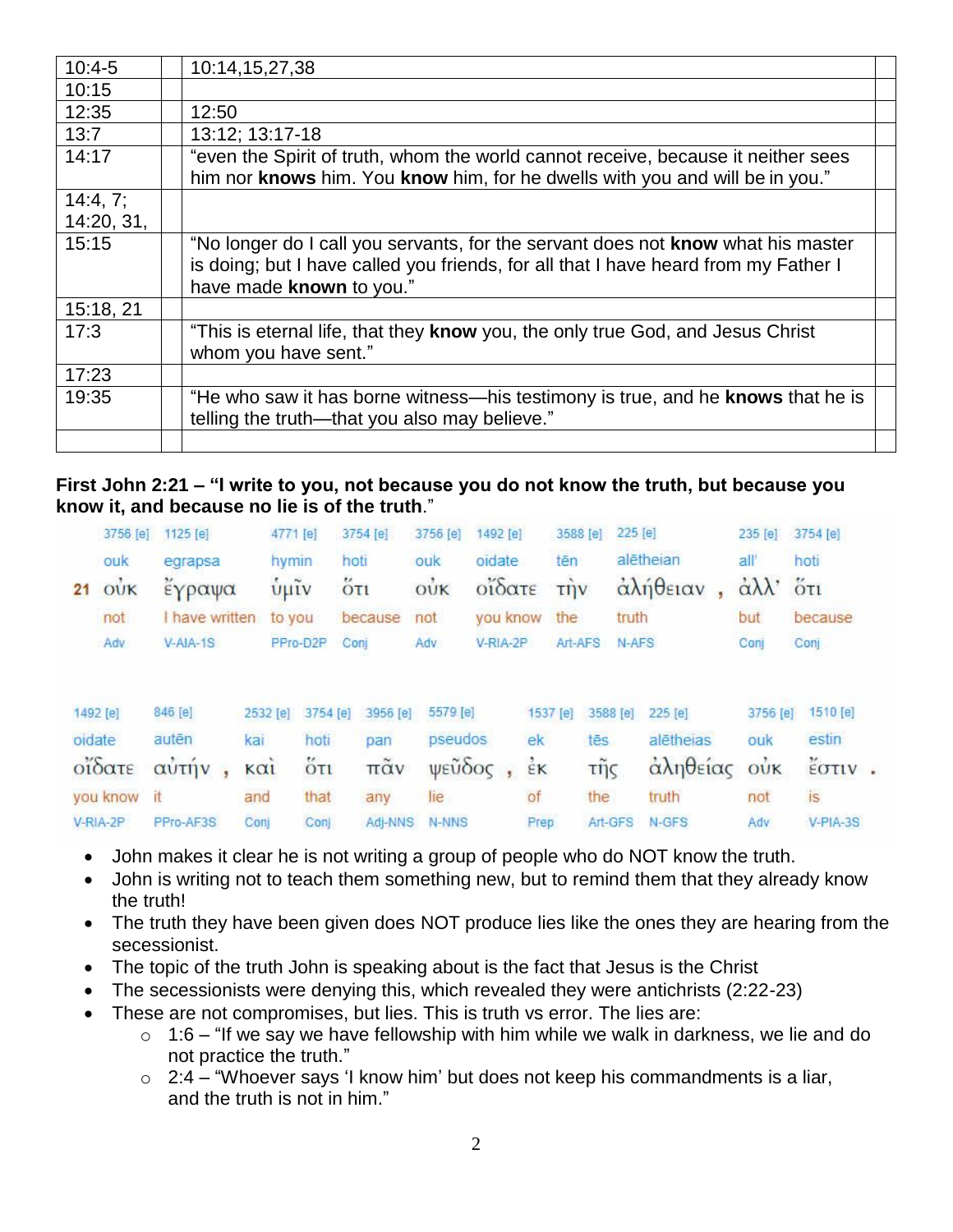| $10:4-5$   | 10:14,15,27,38                                                                                                                                                    |
|------------|-------------------------------------------------------------------------------------------------------------------------------------------------------------------|
| 10:15      |                                                                                                                                                                   |
| 12:35      | 12:50                                                                                                                                                             |
| 13:7       | 13:12; 13:17-18                                                                                                                                                   |
| 14:17      | "even the Spirit of truth, whom the world cannot receive, because it neither sees<br>him nor knows him. You know him, for he dwells with you and will be in you." |
| 14:4, 7;   |                                                                                                                                                                   |
| 14:20, 31, |                                                                                                                                                                   |
| 15:15      | "No longer do I call you servants, for the servant does not <b>know</b> what his master                                                                           |
|            | is doing; but I have called you friends, for all that I have heard from my Father I                                                                               |
|            | have made known to you."                                                                                                                                          |
| 15:18, 21  |                                                                                                                                                                   |
| 17:3       | "This is eternal life, that they know you, the only true God, and Jesus Christ<br>whom you have sent."                                                            |
| 17:23      |                                                                                                                                                                   |
| 19:35      | "He who saw it has borne witness—his testimony is true, and he knows that he is<br>telling the truth—that you also may believe."                                  |
|            |                                                                                                                                                                   |

#### **First John 2:21 – "I write to you, not because you do not know the truth, but because you know it, and because no lie is of the truth**."

|          | 3756 [e] | 1125 [e]     | 4771 [e]           |                 | 3754 [e] | 3756 [e]     | 1492 [e] |          | 3588 [e]             | 225 [e]  |           | 235 [e]                | 3754 [e]            |  |
|----------|----------|--------------|--------------------|-----------------|----------|--------------|----------|----------|----------------------|----------|-----------|------------------------|---------------------|--|
|          | ouk      | egrapsa      | hymin              |                 | hoti     | ouk          | oidate   |          | tēn                  |          | alētheian | all'                   | hoti                |  |
| 21       | $o$ νκ   | έγραψα       | $\tilde{\psi}$ μĩν |                 | 5T1      | OUK          | οΐδατε   |          | $\overrightarrow{L}$ |          | αλήθειαν  | $\alpha\lambda\lambda$ | $\ddot{\text{O}}$   |  |
|          | not      | have written | to you             |                 | because  | not          | you know |          | the                  | truth    |           | but                    | because             |  |
|          | Adv      | $V- AIA-1S$  |                    | PPro-D2P        | Conj     | Adv          | V-RIA-2P |          | Art-AFS              | N-AFS    |           | Conj                   | Conj                |  |
| 1492 [e] |          | 846 [e]      | 2532 [e]           | 3754 [e]        | 3956 [e] | 5579 [e]     |          | 1537 [e] |                      | 3588 [e] | 225 [e]   | 3756 [e]               | 1510 [e]            |  |
| oidate   |          | autēn        | kai                | hoti            | pan      | pseudos      |          | ek       | tēs                  |          | alētheias | ouk                    | estin               |  |
| οΐδατε   |          | αὐτήν        | καί                | $\overline{6}π$ | πᾶν      | ψεῦδος       |          | έK       | τῆς                  |          | αληθείας  | $\vec{ow}$             | $\frac{v}{2}$ στιν. |  |
|          | you know | it           | and                | that            | any      | lie          |          | of       | the                  |          | truth     | not                    | is                  |  |
| V-RIA-2P |          | PPro-AF3S    | Coni               | Con             | Adi-NNS  | <b>N-NNS</b> |          | Prep     |                      | Art-GFS  | N-GFS     | Adv                    | $V-PIA-3S$          |  |

- John makes it clear he is not writing a group of people who do NOT know the truth.
- John is writing not to teach them something new, but to remind them that they already know the truth!
- The truth they have been given does NOT produce lies like the ones they are hearing from the secessionist.
- The topic of the truth John is speaking about is the fact that Jesus is the Christ
- The secessionists were denying this, which revealed they were antichrists (2:22-23)
- These are not compromises, but lies. This is truth vs error. The lies are:
	- $\circ$  1:6 "If we say we have fellowship with him while we walk in darkness, we lie and do not practice the truth."
	- $\circ$  2:4 "Whoever says 'I know him' but does not keep his commandments is a liar, and the truth is not in him."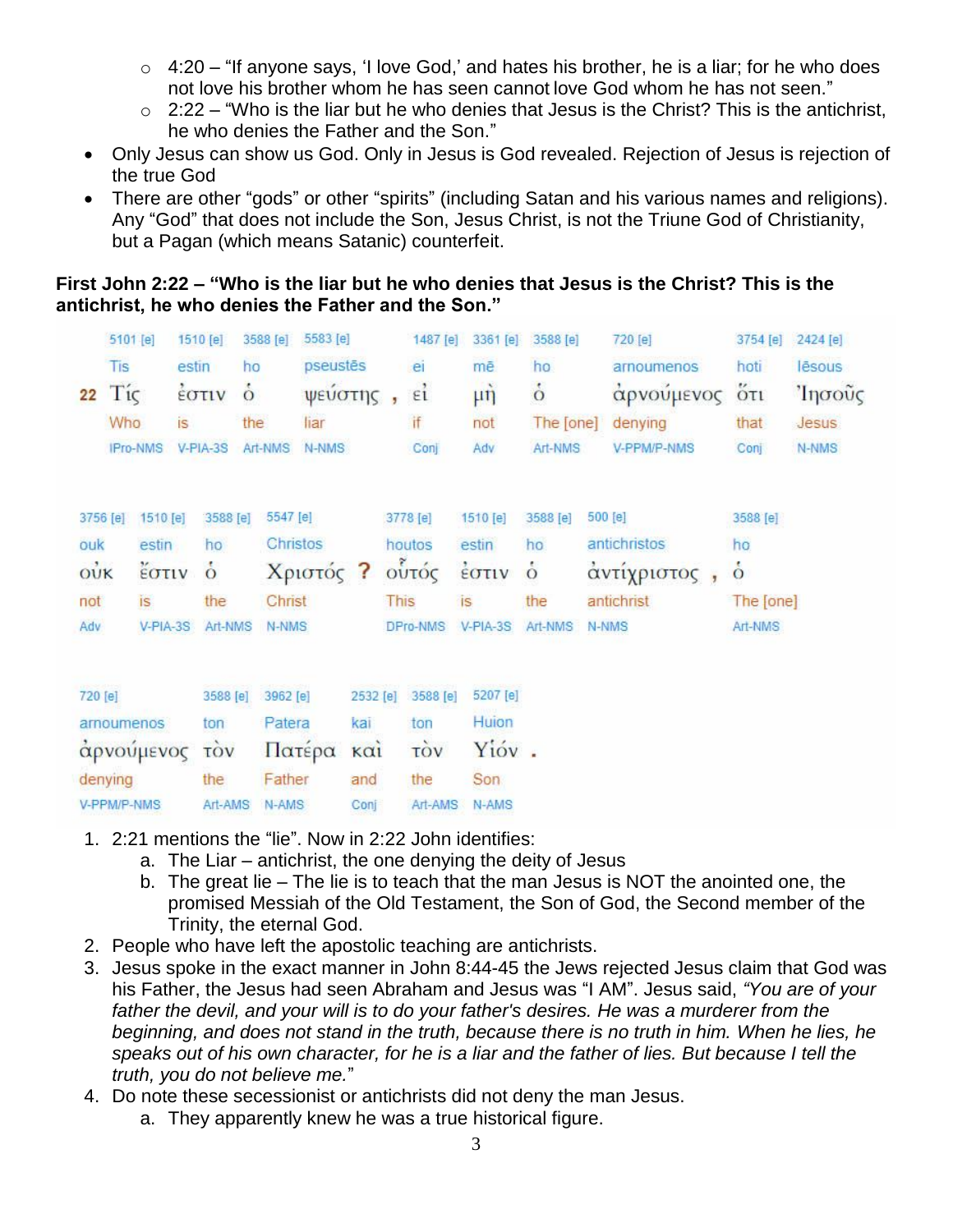- $\circ$  4:20 "If anyone says, 'I love God,' and hates his brother, he is a liar; for he who does not love his brother whom he has seen cannot love God whom he has not seen."
- $\circ$  2:22 "Who is the liar but he who denies that Jesus is the Christ? This is the antichrist, he who denies the Father and the Son."
- Only Jesus can show us God. Only in Jesus is God revealed. Rejection of Jesus is rejection of the true God
- There are other "gods" or other "spirits" (including Satan and his various names and religions). Any "God" that does not include the Son, Jesus Christ, is not the Triune God of Christianity, but a Pagan (which means Satanic) counterfeit.

**First John 2:22 – "Who is the liar but he who denies that Jesus is the Christ? This is the antichrist, he who denies the Father and the Son."**

|             | 5101 [e]    |                 | 1510 [e]       | 3588 [e]      | 5583 [e]  |             |             | 1487 [e]   | 3361 [e]                                 | 3588 [e]      | 720 [e]      | 3754 [e]      | 2424 [e] |
|-------------|-------------|-----------------|----------------|---------------|-----------|-------------|-------------|------------|------------------------------------------|---------------|--------------|---------------|----------|
|             | Tis         |                 | estin          | ho            | pseustēs  |             |             | e          | mē                                       | ho            | arnoumenos   | hoti          | lēsous   |
| 22          | Tίς         |                 | <b>EOTIV</b>   | $\dot{\circ}$ | ψεύστης,  |             |             | E1         | $\mu \dot{\eta}$                         | $\dot{\circ}$ | αρνούμενος   | $5\tau$       | Ίησοῦς   |
|             | Who         |                 | is             | the           | liar      |             |             | if         | not                                      | The [one]     | denying      | that          | Jesus    |
|             |             | <b>IPro-NMS</b> | V-PIA-3S       | Art-NMS       | N-NMS     |             |             | Conj       | Adv                                      | Art-NMS       | V-PPM/P-NMS  | Conj          | N-NMS    |
|             |             |                 |                |               |           |             |             |            |                                          |               |              |               |          |
| 3756 [e]    |             | 1510 [e]        | 3588 [e]       | 5547 [e]      |           |             |             | 3778 [e]   | 1510 [e]                                 | 3588 [e]      | 500 [e]      | 3588 [e]      |          |
| ouk         |             | estin           | ho             |               | Christos  |             |             | houtos     | estin                                    | ho            | antichristos | ho            |          |
| $o\ddot{v}$ |             | έστιν           | $\dot{\circ}$  |               | Χριστός ? |             |             | ούτός      | $\frac{1}{2}$ $\sigma$ $\tau$ $\upsilon$ | $\dot{\circ}$ | άντίχριστος, | $\dot{\circ}$ |          |
| not         |             | is              | the            | Christ        |           |             | <b>This</b> |            | is.                                      | the           | antichrist   | The [one]     |          |
| Adv         |             | V-PIA-3S        | Art-NMS        | N-NMS         |           |             |             | DPro-NMS   | $V-PIA-3S$                               | Art-NMS       | N-NMS        | Art-NMS       |          |
|             |             |                 |                |               |           |             |             |            |                                          |               |              |               |          |
| 720 [e]     |             |                 | 3588 [e]       | 3962 [e]      |           | 2532 [e]    |             | 3588 [e]   | 5207 [e]                                 |               |              |               |          |
|             |             | arnoumenos      | ton            | Patera        |           | kal         |             | ton        | Huion                                    |               |              |               |          |
|             |             | αρνούμενος      | τòν            |               | Πατέρα    | $k\alpha i$ |             | <b>TÒV</b> | Yióv.                                    |               |              |               |          |
|             | denying     |                 | the            | Father        |           | and         |             | the        | Son                                      |               |              |               |          |
|             | V-PPM/P-NMS |                 | <b>Art-AMS</b> | N-AMS         |           | Coni        |             | Art-AMS    | N-AMS                                    |               |              |               |          |

- 1. 2:21 mentions the "lie". Now in 2:22 John identifies:
	- a. The Liar antichrist, the one denying the deity of Jesus
	- b. The great lie The lie is to teach that the man Jesus is NOT the anointed one, the promised Messiah of the Old Testament, the Son of God, the Second member of the Trinity, the eternal God.
- 2. People who have left the apostolic teaching are antichrists.
- 3. Jesus spoke in the exact manner in John 8:44-45 the Jews rejected Jesus claim that God was his Father, the Jesus had seen Abraham and Jesus was "I AM". Jesus said, *"You are of your father the devil, and your will is to do your father's desires. He was a murderer from the beginning, and does not stand in the truth, because there is no truth in him. When he lies, he speaks out of his own character, for he is a liar and the father of lies. But because I tell the truth, you do not believe me.*"
- 4. Do note these secessionist or antichrists did not deny the man Jesus.
	- a. They apparently knew he was a true historical figure.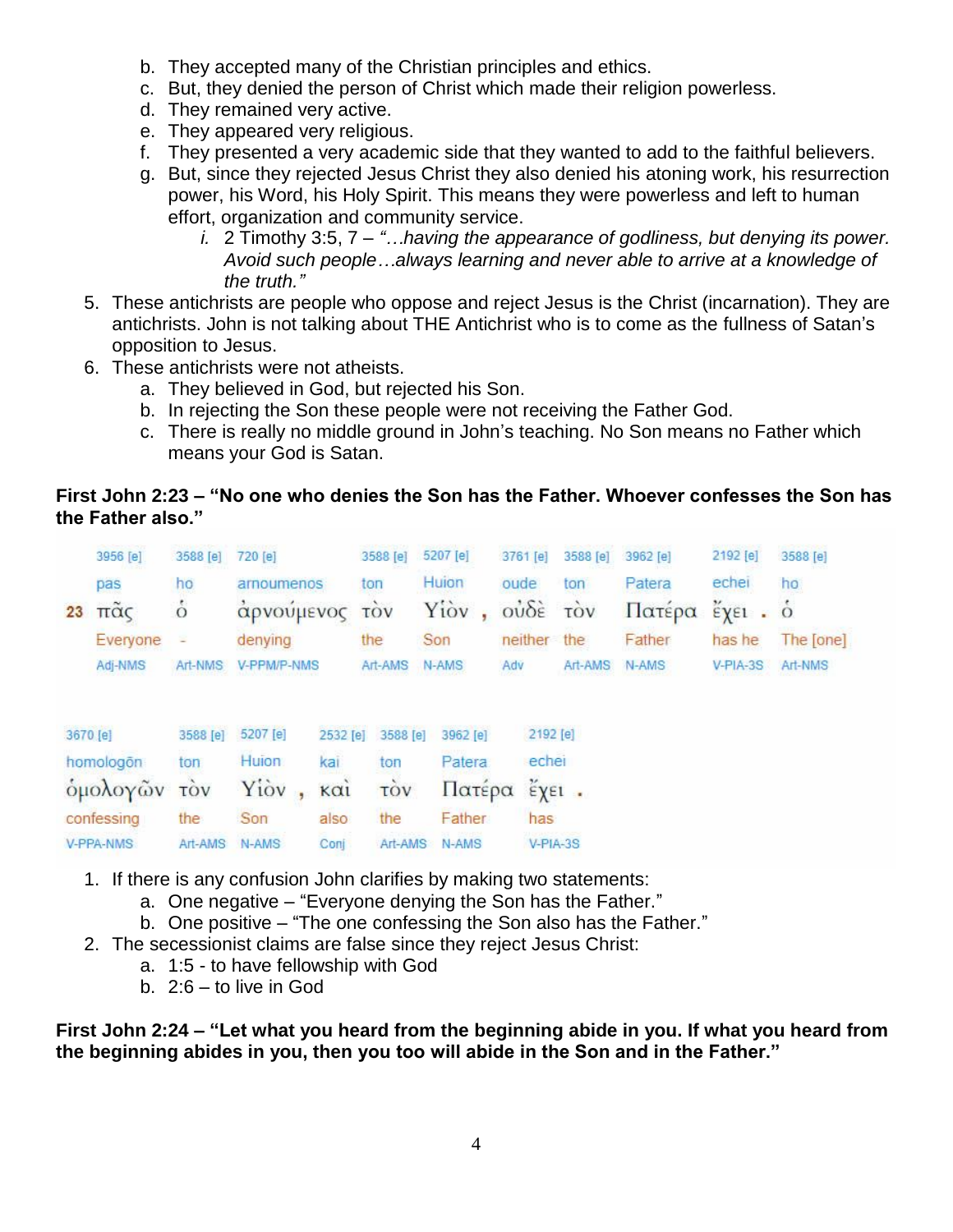- b. They accepted many of the Christian principles and ethics.
- c. But, they denied the person of Christ which made their religion powerless.
- d. They remained very active.
- e. They appeared very religious.
- f. They presented a very academic side that they wanted to add to the faithful believers.
- g. But, since they rejected Jesus Christ they also denied his atoning work, his resurrection power, his Word, his Holy Spirit. This means they were powerless and left to human effort, organization and community service.
	- *i.* 2 Timothy 3:5, 7 *"…having the appearance of godliness, but denying its power. Avoid such people…always learning and never able to arrive at a knowledge of the truth."*
- 5. These antichrists are people who oppose and reject Jesus is the Christ (incarnation). They are antichrists. John is not talking about THE Antichrist who is to come as the fullness of Satan's opposition to Jesus.
- 6. These antichrists were not atheists.
	- a. They believed in God, but rejected his Son.
	- b. In rejecting the Son these people were not receiving the Father God.
	- c. There is really no middle ground in John's teaching. No Son means no Father which means your God is Satan.

### **First John 2:23 – "No one who denies the Son has the Father. Whoever confesses the Son has the Father also."**

|    | 3956 [e]                       | 3588 [e]      | 720 [e]     |          | 3588 [e]   | 5207 [e] | 3761 [e]                       | 3588 [e]              | 3962 [e] | 2192 [e]                                     | 3588 [e]  |
|----|--------------------------------|---------------|-------------|----------|------------|----------|--------------------------------|-----------------------|----------|----------------------------------------------|-----------|
|    | pas                            | ho            | arnoumenos  |          | ton        | Huion    | oude                           | ton                   | Patera   | echei                                        | ho        |
| 23 | $\tilde{\pi}$ $\tilde{\alpha}$ | $\dot{\circ}$ | αρνούμενος  |          | <b>TOV</b> | Yiov     | $o\dot{v}\delta\dot{\epsilon}$ | τòν                   | Πατέρα   | $\epsilon$ $\chi$ $\epsilon$ $\iota$ $\circ$ |           |
|    | Everyone                       |               | denying     |          | the        | Son      | neither                        | the                   | Father   | has he                                       | The [one] |
|    | Adj-NMS                        | Art-NMS       | V-PPM/P-NMS |          | Art-AMS    | N-AMS    | Adv                            | Art-AMS               | N-AMS    | V-PIA-3S                                     | Art-NMS   |
|    | 3670 [e]                       | 3588 [e]      | 5207 [e]    | 2532 [e] | 3588 [e]   | 3962 [e] | 2192 [e]                       |                       |          |                                              |           |
|    | homologon                      | ton           | Huion:      | kai      | ton        | Patera   | echei                          |                       |          |                                              |           |
|    | ομολογών                       | <b>TOV</b>    | Yiov        | καί      | TOV        | Πατέρα   |                                | $\epsilon_{X^{E1}}$ . |          |                                              |           |
|    | confessing                     | the           | Son         | also     | the        | Father   | has                            |                       |          |                                              |           |
|    | V-PPA-NMS                      | Art-AMS       | N-AMS       | Coni     | Art-AMS    | N-AMS    | V-PIA-3S                       |                       |          |                                              |           |

- 1. If there is any confusion John clarifies by making two statements:
	- a. One negative "Everyone denying the Son has the Father."
	- b. One positive "The one confessing the Son also has the Father."
- 2. The secessionist claims are false since they reject Jesus Christ:
	- a. 1:5 to have fellowship with God
		- b. 2:6 to live in God

**First John 2:24 – "Let what you heard from the beginning abide in you. If what you heard from the beginning abides in you, then you too will abide in the Son and in the Father."**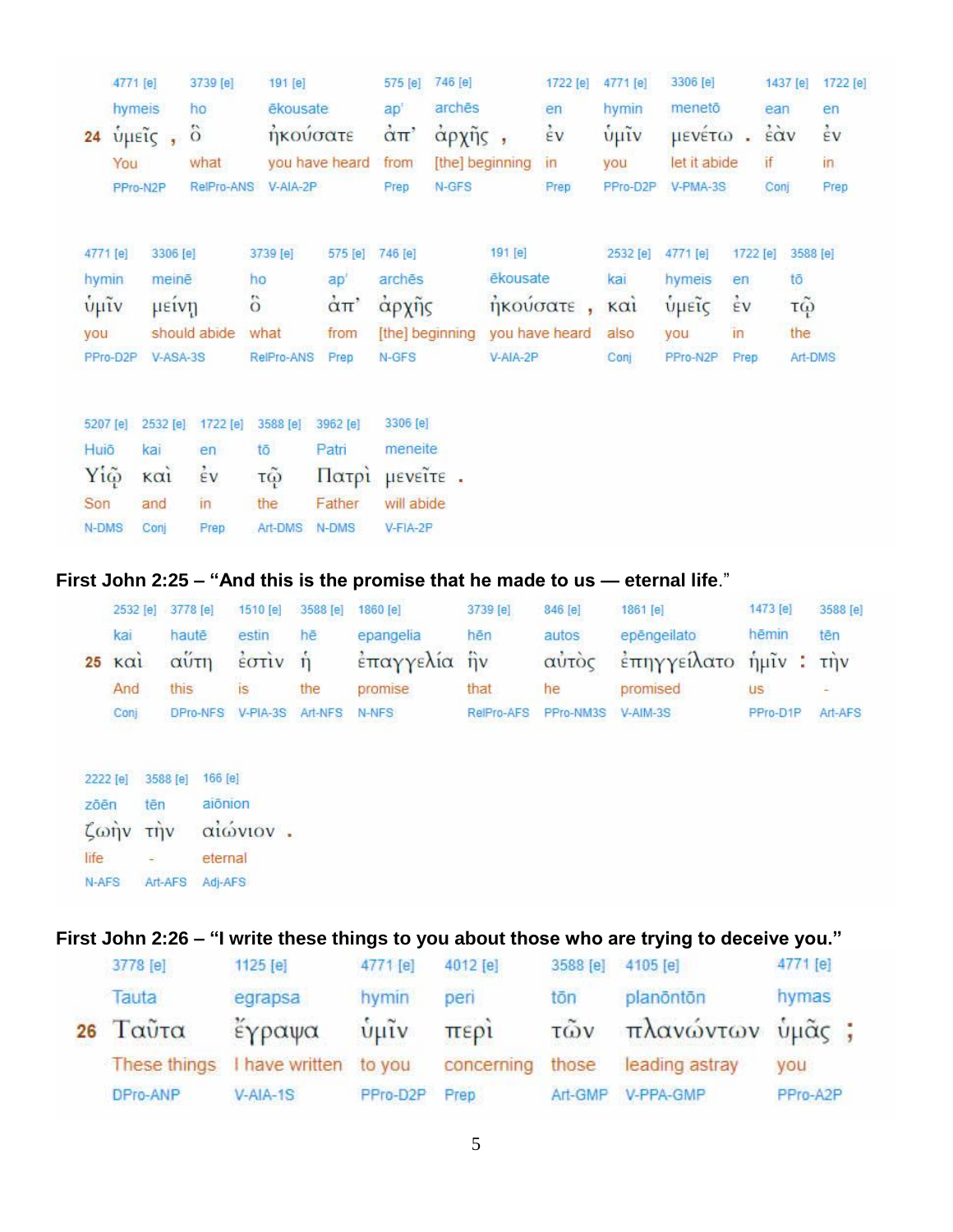|                                                                                | 3739 [e]                                                                                                                 | 191 [e]                                                                                      |                                                                                                               | 575 [e]                                                                                                                                                               | 746 [e]           |                                                                                       | 1722 [e]                                      | 4771 [e]                                           | 3306 [e]                                     |                                    |                                                              | 1722 [e]                                |
|--------------------------------------------------------------------------------|--------------------------------------------------------------------------------------------------------------------------|----------------------------------------------------------------------------------------------|---------------------------------------------------------------------------------------------------------------|-----------------------------------------------------------------------------------------------------------------------------------------------------------------------|-------------------|---------------------------------------------------------------------------------------|-----------------------------------------------|----------------------------------------------------|----------------------------------------------|------------------------------------|--------------------------------------------------------------|-----------------------------------------|
|                                                                                | ho                                                                                                                       |                                                                                              |                                                                                                               | ap'                                                                                                                                                                   |                   |                                                                                       | en                                            | hymin                                              | menetō                                       |                                    | ean                                                          | en                                      |
|                                                                                | $\ddot{\circ}$                                                                                                           |                                                                                              |                                                                                                               | $\alpha$ <sup>T</sup>                                                                                                                                                 |                   |                                                                                       | $\dot{\epsilon}$ v                            | $\tilde{\psi}$ μῖν                                 |                                              | ä.                                 | $\ddot{\epsilon}$ àv                                         | έv                                      |
|                                                                                | what                                                                                                                     |                                                                                              |                                                                                                               | from                                                                                                                                                                  |                   |                                                                                       | $\mathsf{In}$                                 | you                                                |                                              |                                    | if                                                           | in                                      |
|                                                                                |                                                                                                                          |                                                                                              |                                                                                                               | Prep                                                                                                                                                                  | N-GFS             |                                                                                       | Prep                                          | PPro-D2P                                           |                                              |                                    | Conj                                                         | Prep                                    |
|                                                                                |                                                                                                                          |                                                                                              |                                                                                                               |                                                                                                                                                                       |                   |                                                                                       |                                               |                                                    |                                              |                                    |                                                              | 3588 [e]                                |
|                                                                                |                                                                                                                          |                                                                                              |                                                                                                               |                                                                                                                                                                       |                   |                                                                                       |                                               |                                                    |                                              |                                    |                                                              |                                         |
|                                                                                |                                                                                                                          |                                                                                              |                                                                                                               |                                                                                                                                                                       |                   |                                                                                       |                                               |                                                    |                                              |                                    |                                                              |                                         |
|                                                                                |                                                                                                                          |                                                                                              |                                                                                                               |                                                                                                                                                                       |                   |                                                                                       |                                               |                                                    |                                              |                                    |                                                              |                                         |
|                                                                                |                                                                                                                          |                                                                                              | Prep                                                                                                          | N-GFS                                                                                                                                                                 |                   |                                                                                       |                                               | Conj                                               | PPro-N2P                                     |                                    |                                                              | Art-DMS                                 |
|                                                                                |                                                                                                                          |                                                                                              |                                                                                                               |                                                                                                                                                                       |                   |                                                                                       |                                               |                                                    |                                              |                                    |                                                              |                                         |
|                                                                                |                                                                                                                          |                                                                                              |                                                                                                               |                                                                                                                                                                       |                   |                                                                                       |                                               |                                                    |                                              |                                    |                                                              |                                         |
|                                                                                |                                                                                                                          |                                                                                              |                                                                                                               |                                                                                                                                                                       |                   |                                                                                       |                                               |                                                    |                                              |                                    |                                                              |                                         |
|                                                                                |                                                                                                                          |                                                                                              |                                                                                                               |                                                                                                                                                                       |                   |                                                                                       |                                               |                                                    |                                              |                                    |                                                              |                                         |
|                                                                                |                                                                                                                          |                                                                                              |                                                                                                               |                                                                                                                                                                       |                   |                                                                                       |                                               |                                                    |                                              |                                    |                                                              |                                         |
| 4771 [e]<br>hymin<br>$ν$ μιν<br>you<br>5207 [e]<br>Huiō<br>Υίω<br>Son<br>N-DMS | 4771 [e]<br>hymeis<br><b><i>υμείς</i></b><br>You<br>PPro-N2P<br>PPro-D2P<br>kai<br>$K\alpha$ <sub>1</sub><br>and<br>Conj | 3306 [e]<br>meinē<br>μεινη<br>should abide<br>V-ASA-3S<br>2532 [e]<br>en<br>έV<br>in<br>Prep | RelPro-ANS<br>3739 [e]<br>ho<br>$\ddot{\rm{o}}$<br>what<br>1722 [e]<br>3588 [e]<br>tō<br>τῷ<br>the<br>Art-DMS | ēkousate<br>ήκούσατε<br>you have heard<br>V-AIA-2P<br>575 [e]<br>ap'<br>$\dot{\alpha}$ $\pi$ '<br>from<br>RelPro-ANS<br>3962 [e]<br>Patri<br>Πατρί<br>Father<br>N-DMS | 746 [e]<br>archēs | άρχης<br>[the] beginning<br>3306 [e]<br>meneite<br>µενεῖτε.<br>will abide<br>V-FIA-2P | archēs<br>άρχῆς<br>[the] beginning<br>191 [e] | ēkousate<br>ηκούσατε<br>you have heard<br>V-AIA-2P | 2532 [e]<br>kai<br>$\kappa$ $\alpha$<br>also | 4771 [e]<br>hymeis<br>υμείς<br>you | μενέτω<br>let it abide<br>V-PMA-3S<br>en<br>έv<br>in<br>Prep | 1437 [e]<br>1722 [e]<br>tō<br>τώ<br>the |

# **First John 2:25 – "And this is the promise that he made to us — eternal life**."

|                | 2532 [e] 3778 [e]         | 1510 [e] 3588 [e]                                    |     | 1860 [e]           | 3739 [e]   | 846 [e]            | 1861 [e]                    | 1473 [e] | 3588 [e] |
|----------------|---------------------------|------------------------------------------------------|-----|--------------------|------------|--------------------|-----------------------------|----------|----------|
| kar            | hautē                     | estin                                                | hē. | epangelia          | hên        | autos              | epēngeilato                 | hēmin    | tēn      |
| $25 \text{ K}$ | αύτη                      | $\frac{2}{2}$ $\sigma$ $\vec{r}$ $\vec{v}$ $\vec{n}$ |     | έπαγγελία ήν       |            |                    | αυτός επηγγείλατο ήμιν: την |          |          |
| And            | this                      | IS <sub>1</sub>                                      | the | promise            | that       | he                 | promised                    | US.      |          |
| Conj           | DPro-NFS V-PIA-3S Art-NFS |                                                      |     | N-NFS <sup>1</sup> | RelPro-AFS | PPro-NM3S V-AIM-3S |                             | PPro-D1P | Art-AFS  |

|          | 2222 [e] 3588 [e] 166 [e] |          |  |
|----------|---------------------------|----------|--|
| zōēn     | tēn                       | aiônion  |  |
| ζωήν την |                           | αιώνιον. |  |
| life     | $\sim$                    | eternal  |  |
|          | N-AFS Art-AFS Adj-AFS     |          |  |

# **First John 2:26 – "I write these things to you about those who are trying to deceive you."**

| 3778 [e]           | 1125 [e]              | 4771 [e]      | 4012 [e]   | 3588 [e]          | 4105 [e]         | 4771 [e] |  |
|--------------------|-----------------------|---------------|------------|-------------------|------------------|----------|--|
| Tauta              | egrapsa               | hymin         | peri       | tōn               | planöntön        | hymas    |  |
| $26$ $\Gamma$ αὖτα | έγραψα                | $\frac{1}{2}$ | περί       | $\tilde{\tau}$ ων | πλανώντων ὑμᾶς ; |          |  |
| These things       | I have written to you |               | concerning | those             | leading astray   | you      |  |
| DPro-ANP           | $V- AIA-1S$           | PPro-D2P      | Prep       | Art-GMP           | V-PPA-GMP        | PPro-A2P |  |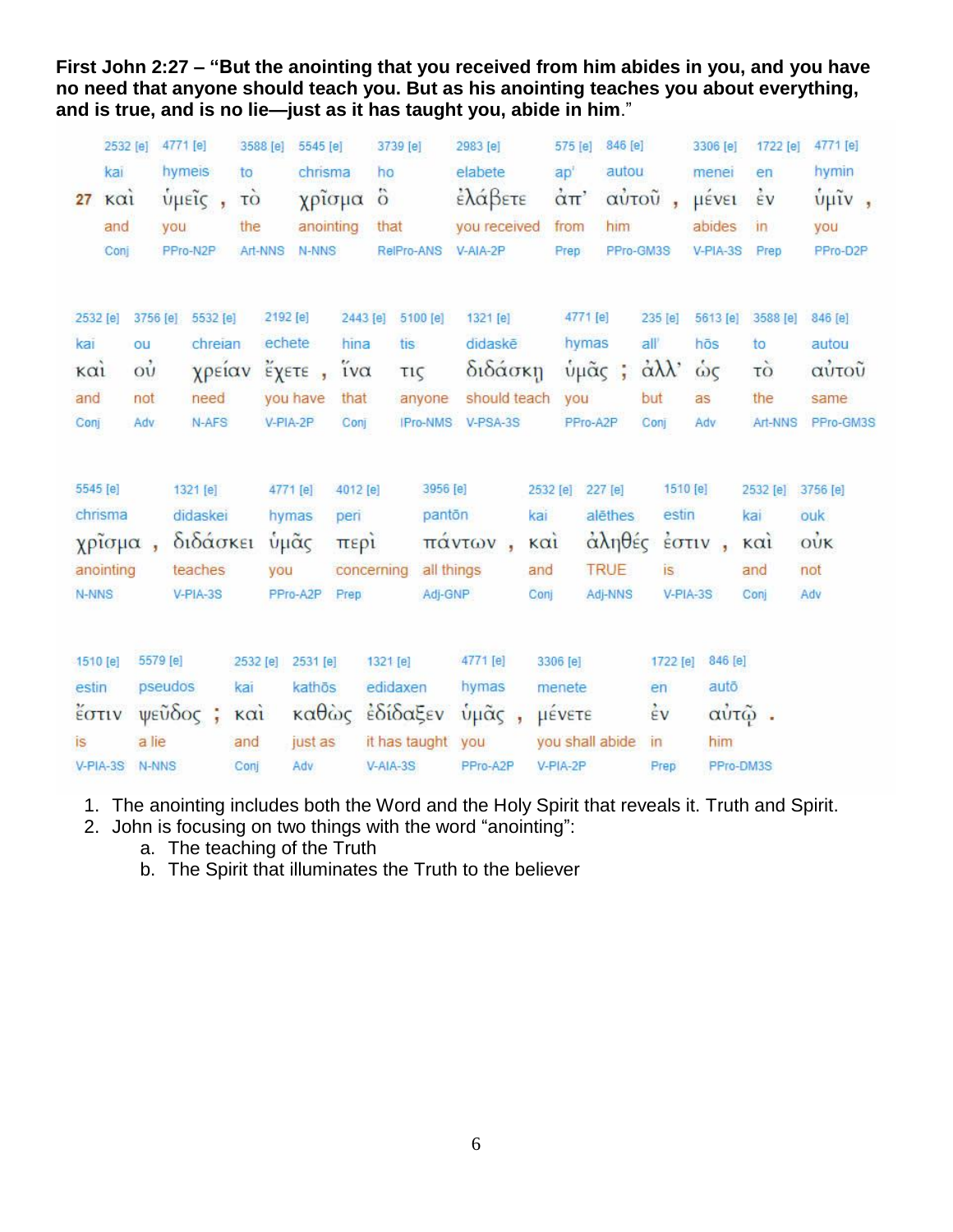**First John 2:27 – "But the anointing that you received from him abides in you, and you have no need that anyone should teach you. But as his anointing teaches you about everything, and is true, and is no lie—just as it has taught you, abide in him**."

|          | 2532 [e]    |                                    | 4771 [e]          | 3588 [e]    |          | 5545 [e]                               |                     | 3739 [e]          |            | 2983 [e]                  |                                | 575 [e]                              | 846 [e]         |                          | 3306 [e]                                   | 1722 [e]           | 4771 [e]              |
|----------|-------------|------------------------------------|-------------------|-------------|----------|----------------------------------------|---------------------|-------------------|------------|---------------------------|--------------------------------|--------------------------------------|-----------------|--------------------------|--------------------------------------------|--------------------|-----------------------|
|          | kai         |                                    | hymeis            | to          |          | chrisma                                |                     | ho                |            | elabete                   |                                | ap'                                  | autou           |                          | menei                                      | en                 | hymin                 |
| 27       | $k\alpha i$ |                                    | ύμεις,            | τò          |          | χρίσμα                                 |                     | $\ddot{\text{o}}$ |            | έλάβετε                   |                                | $\alpha$ <sup><math>\pi</math></sup> |                 | αὐτοῦ,                   | μένει                                      | $\dot{\epsilon}$ v | $\frac{t}{\psi}$ μῖν, |
|          | and         |                                    | you               | the         |          | anointing                              |                     | that              |            | you received              |                                | from                                 | him             |                          | abides                                     | in                 | you                   |
|          | Conj        |                                    | PPro-N2P          | Art-NNS     |          | N-NNS                                  |                     | RelPro-ANS        |            | V-AIA-2P                  |                                | Prep                                 |                 | PPro-GM3S                | V-PIA-3S                                   | Prep               | PPro-D2P              |
|          |             |                                    |                   |             |          |                                        |                     |                   |            |                           |                                |                                      |                 |                          |                                            |                    |                       |
| 2532 [e] |             |                                    | 3756 [e] 5532 [e] |             | 2192 [e] |                                        | 2443 [e]            |                   | 5100 [e]   | 1321 [e]                  |                                |                                      | 4771 [e]        | 235 [e]                  | 5613 [e]                                   | 3588 [e]           | 846 [e]               |
| kai      |             | ou                                 | chreian           |             | echete   |                                        | hina                | tis.              |            | didaskē                   |                                |                                      | hymas           | all                      | hōs                                        | to                 | autou                 |
| καί      |             | $\dot{\mathrm{o}}\dot{\mathrm{u}}$ | χρείαν            |             |          | $\check{\epsilon} \chi$ <sub>ETE</sub> | $i\mathsf{v}\alpha$ | τις               |            | διδάσκη                   |                                |                                      | ύμᾶς ;          | $\alpha\lambda\lambda$   | ώς                                         | τò                 | αὐτοῦ                 |
| and      |             | not                                | need              |             | you have |                                        | that                |                   | anyone     | should teach              |                                | you                                  |                 | but                      | as                                         | the                | same                  |
| Conj     |             | Adv                                | N-AFS             |             | V-PIA-2P |                                        | Conj                |                   | IPro-NMS   | V-PSA-3S                  |                                |                                      | PPro-A2P        | Conj                     | Adv                                        | Art-NNS            | PPro-GM3S             |
|          |             |                                    |                   |             |          |                                        |                     |                   |            |                           |                                |                                      |                 |                          |                                            |                    |                       |
| 5545 [e] |             |                                    | 1321 [e]          |             | 4771 [e] |                                        | 4012 [e]            |                   | 3956 [e]   |                           |                                | 2532 [e]                             | 227 [e]         |                          | 1510 [e]                                   | 2532 [e]           | 3756 [e]              |
|          | chrisma     |                                    | didaskei          |             | hymas    |                                        | peri                |                   | panton     |                           | kai                            |                                      | alēthes         | estin                    |                                            | kai                | ouk                   |
|          | χρίσμα,     |                                    | διδάσκει          |             | ὑμᾶς     |                                        | περί                |                   |            | πάντων,                   | $\kappa$ $\alpha$ <sub>i</sub> |                                      | άληθές          |                          | $\frac{1}{2}$ $\sigma$ $\tau$ $\upsilon$ , | $\kappa$ $\alpha$  | $\dot{\text{ow}}$     |
|          | anointing   |                                    | teaches           |             | you      |                                        | concerning          |                   | all things |                           | and                            |                                      | <b>TRUE</b>     | is                       |                                            | and                | not                   |
| N-NNS    |             |                                    | V-PIA-3S          |             | PPro-A2P |                                        | Prep                |                   | Adj-GNP    |                           | Conj                           |                                      | Adj-NNS         |                          | V-PIA-3S                                   | Conj               | Adv                   |
|          |             |                                    |                   |             |          |                                        |                     |                   |            |                           |                                |                                      |                 |                          |                                            |                    |                       |
|          |             |                                    |                   |             |          |                                        |                     |                   |            |                           |                                |                                      |                 |                          |                                            |                    |                       |
| 1510 [e] |             |                                    | 5579 [e]          | 2532 [e]    |          | 2531 [e]                               |                     | 1321 [e]          |            | 4771 [e]                  |                                | 3306 [e]                             |                 | 1722 [e]                 | 846 [e]                                    |                    |                       |
| estin    |             |                                    | pseudos           | kar         |          | kathōs                                 |                     | edidaxen          |            | hymas                     |                                | menete                               |                 | en                       | autō                                       |                    |                       |
|          | έστιν       |                                    | $ψε$ ὖδος ;       | $k\alpha i$ |          |                                        |                     | καθώς εδίδαξεν    |            | $ν$ μ $\tilde{\alpha}$ ς, |                                | μένετε                               |                 | $\frac{1}{2}V$           |                                            | αὐτῷ.              |                       |
| is       |             | a lie                              |                   | and         |          | just as                                |                     | it has taught     |            | you                       |                                |                                      | you shall abide | $\overline{\mathsf{In}}$ | him                                        |                    |                       |
|          | $V-PIA-3S$  | N-NNS                              |                   | Conj        |          | Adv                                    |                     | V-AIA-3S          |            | PPro-A2P                  |                                | V-PIA-2P                             |                 | Prep                     |                                            | PPro-DM3S          |                       |

- 1. The anointing includes both the Word and the Holy Spirit that reveals it. Truth and Spirit.
- 2. John is focusing on two things with the word "anointing":
	- a. The teaching of the Truth
	- b. The Spirit that illuminates the Truth to the believer